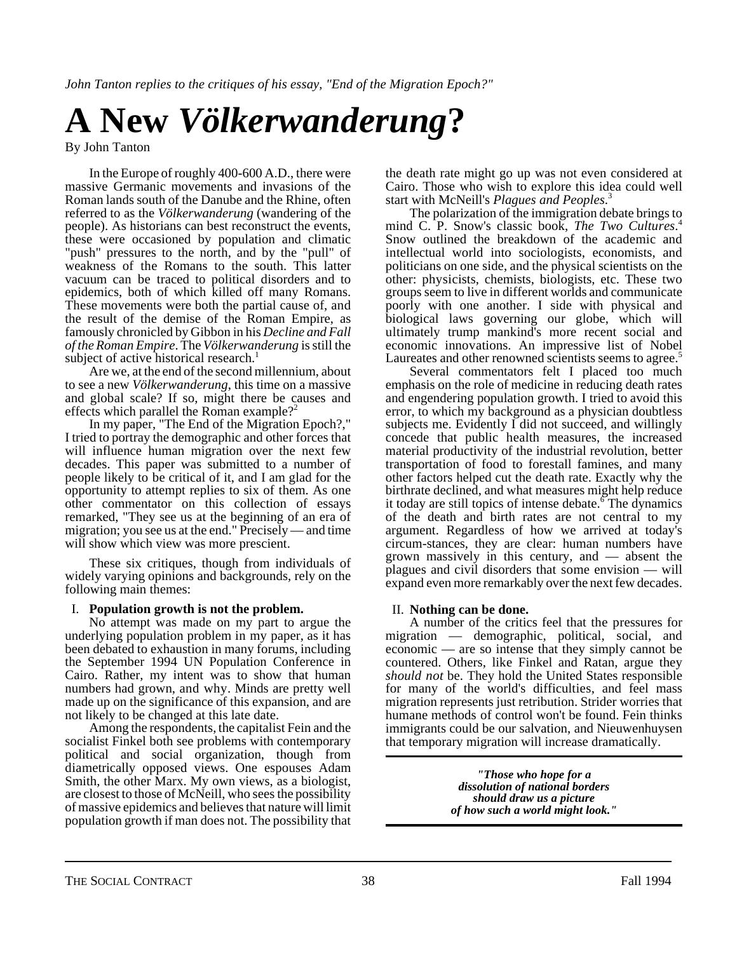*John Tanton replies to the critiques of his essay, "End of the Migration Epoch?"*

# **A New** *Völkerwanderung***?**

By John Tanton

In the Europe of roughly 400-600 A.D., there were massive Germanic movements and invasions of the Roman lands south of the Danube and the Rhine, often referred to as the *Völkerwanderung* (wandering of the people). As historians can best reconstruct the events, these were occasioned by population and climatic "push" pressures to the north, and by the "pull" of weakness of the Romans to the south. This latter vacuum can be traced to political disorders and to epidemics, both of which killed off many Romans. These movements were both the partial cause of, and the result of the demise of the Roman Empire, as famously chronicled by Gibbon in his *Decline and Fall of the Roman Empire*. The *Völkerwanderung* is still the subject of active historical research.<sup>1</sup>

Are we, at the end of the second millennium, about to see a new *Völkerwanderung*, this time on a massive and global scale? If so, might there be causes and effects which parallel the Roman example?<sup>2</sup>

In my paper, "The End of the Migration Epoch?," I tried to portray the demographic and other forces that will influence human migration over the next few decades. This paper was submitted to a number of people likely to be critical of it, and I am glad for the opportunity to attempt replies to six of them. As one other commentator on this collection of essays remarked, "They see us at the beginning of an era of migration; you see us at the end." Precisely — and time will show which view was more prescient.

These six critiques, though from individuals of widely varying opinions and backgrounds, rely on the following main themes:

#### I. **Population growth is not the problem.**

No attempt was made on my part to argue the underlying population problem in my paper, as it has been debated to exhaustion in many forums, including the September 1994 UN Population Conference in Cairo. Rather, my intent was to show that human numbers had grown, and why. Minds are pretty well made up on the significance of this expansion, and are not likely to be changed at this late date.

Among the respondents, the capitalist Fein and the socialist Finkel both see problems with contemporary political and social organization, though from diametrically opposed views. One espouses Adam Smith, the other Marx. My own views, as a biologist, are closest to those of McNeill, who sees the possibility of massive epidemics and believes that nature will limit population growth if man does not. The possibility that

the death rate might go up was not even considered at Cairo. Those who wish to explore this idea could well start with McNeill's *Plagues and Peoples*. 3

The polarization of the immigration debate brings to mind C. P. Snow's classic book, *The Two Cultures*. 4 Snow outlined the breakdown of the academic and intellectual world into sociologists, economists, and politicians on one side, and the physical scientists on the other: physicists, chemists, biologists, etc. These two groups seem to live in different worlds and communicate poorly with one another. I side with physical and biological laws governing our globe, which will ultimately trump mankind's more recent social and economic innovations. An impressive list of Nobel Laureates and other renowned scientists seems to agree.<sup>5</sup>

Several commentators felt I placed too much emphasis on the role of medicine in reducing death rates and engendering population growth. I tried to avoid this error, to which my background as a physician doubtless subjects me. Evidently I did not succeed, and willingly concede that public health measures, the increased material productivity of the industrial revolution, better transportation of food to forestall famines, and many other factors helped cut the death rate. Exactly why the birthrate declined, and what measures might help reduce it today are still topics of intense debate.<sup>6</sup> The dynamics of the death and birth rates are not central to my argument. Regardless of how we arrived at today's circum-stances, they are clear: human numbers have grown massively in this century, and — absent the plagues and civil disorders that some envision — will expand even more remarkably over the next few decades.

#### II. **Nothing can be done.**

A number of the critics feel that the pressures for migration — demographic, political, social, and economic — are so intense that they simply cannot be countered. Others, like Finkel and Ratan, argue they *should not* be. They hold the United States responsible for many of the world's difficulties, and feel mass migration represents just retribution. Strider worries that humane methods of control won't be found. Fein thinks immigrants could be our salvation, and Nieuwenhuysen that temporary migration will increase dramatically.

> *"Those who hope for a dissolution of national borders should draw us a picture of how such a world might look."*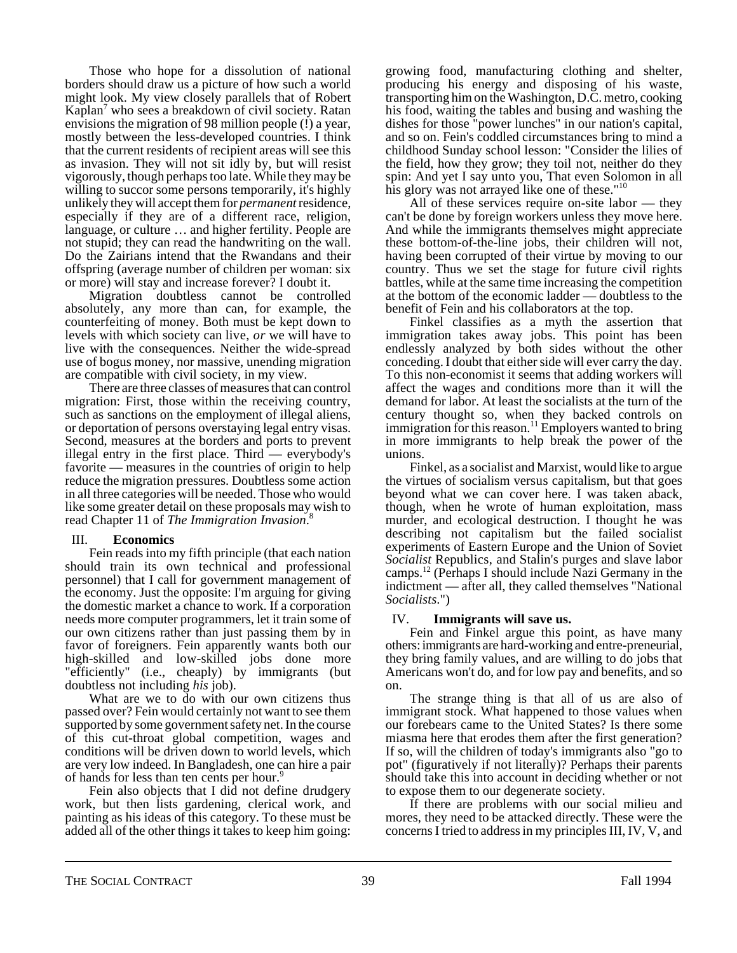Those who hope for a dissolution of national borders should draw us a picture of how such a world might look. My view closely parallels that of Robert Kaplan<sup>7</sup> who sees a breakdown of civil society. Ratan envisions the migration of 98 million people (!) a year, mostly between the less-developed countries. I think that the current residents of recipient areas will see this as invasion. They will not sit idly by, but will resist vigorously, though perhaps too late. While they may be willing to succor some persons temporarily, it's highly unlikely they will accept them for *permanent* residence, especially if they are of a different race, religion, language, or culture … and higher fertility. People are not stupid; they can read the handwriting on the wall. Do the Zairians intend that the Rwandans and their offspring (average number of children per woman: six or more) will stay and increase forever? I doubt it.

Migration doubtless cannot be controlled absolutely, any more than can, for example, the counterfeiting of money. Both must be kept down to levels with which society can live, *or* we will have to live with the consequences. Neither the wide-spread use of bogus money, nor massive, unending migration are compatible with civil society, in my view.

There are three classes of measures that can control migration: First, those within the receiving country, such as sanctions on the employment of illegal aliens, or deportation of persons overstaying legal entry visas. Second, measures at the borders and ports to prevent illegal entry in the first place. Third — everybody's favorite — measures in the countries of origin to help reduce the migration pressures. Doubtless some action in all three categories will be needed. Those who would like some greater detail on these proposals may wish to read Chapter 11 of *The Immigration Invasion*. 8

#### III. **Economics**

Fein reads into my fifth principle (that each nation should train its own technical and professional personnel) that I call for government management of the economy. Just the opposite: I'm arguing for giving the domestic market a chance to work. If a corporation needs more computer programmers, let it train some of our own citizens rather than just passing them by in favor of foreigners. Fein apparently wants both our high-skilled and low-skilled jobs done more "efficiently" (i.e., cheaply) by immigrants (but doubtless not including *his* job).

What are we to do with our own citizens thus passed over? Fein would certainly not want to see them supported by some government safety net. In the course of this cut-throat global competition, wages and conditions will be driven down to world levels, which are very low indeed. In Bangladesh, one can hire a pair of hands for less than ten cents per hour.<sup>9</sup>

Fein also objects that I did not define drudgery work, but then lists gardening, clerical work, and painting as his ideas of this category. To these must be added all of the other things it takes to keep him going:

growing food, manufacturing clothing and shelter, producing his energy and disposing of his waste, transporting him on the Washington, D.C. metro, cooking his food, waiting the tables and busing and washing the dishes for those "power lunches" in our nation's capital, and so on. Fein's coddled circumstances bring to mind a childhood Sunday school lesson: "Consider the lilies of the field, how they grow; they toil not, neither do they spin: And yet I say unto you, That even Solomon in all his glory was not arrayed like one of these."<sup>10</sup>

All of these services require on-site labor — they can't be done by foreign workers unless they move here. And while the immigrants themselves might appreciate these bottom-of-the-line jobs, their children will not, having been corrupted of their virtue by moving to our country. Thus we set the stage for future civil rights battles, while at the same time increasing the competition at the bottom of the economic ladder — doubtless to the benefit of Fein and his collaborators at the top.

Finkel classifies as a myth the assertion that immigration takes away jobs. This point has been endlessly analyzed by both sides without the other conceding. I doubt that either side will ever carry the day. To this non-economist it seems that adding workers will affect the wages and conditions more than it will the demand for labor. At least the socialists at the turn of the century thought so, when they backed controls on immigration for this reason.<sup>11</sup> Employers wanted to bring in more immigrants to help break the power of the unions.

Finkel, as a socialist and Marxist, would like to argue the virtues of socialism versus capitalism, but that goes beyond what we can cover here. I was taken aback, though, when he wrote of human exploitation, mass murder, and ecological destruction. I thought he was describing not capitalism but the failed socialist experiments of Eastern Europe and the Union of Soviet *Socialist* Republics, and Stalin's purges and slave labor camps.12 (Perhaps I should include Nazi Germany in the indictment — after all, they called themselves "National *Socialists*.")

#### IV. **Immigrants will save us.**

Fein and Finkel argue this point, as have many others: immigrants are hard-working and entre-preneurial, they bring family values, and are willing to do jobs that Americans won't do, and for low pay and benefits, and so on.

The strange thing is that all of us are also of immigrant stock. What happened to those values when our forebears came to the United States? Is there some miasma here that erodes them after the first generation? If so, will the children of today's immigrants also "go to pot" (figuratively if not literally)? Perhaps their parents should take this into account in deciding whether or not to expose them to our degenerate society.

If there are problems with our social milieu and mores, they need to be attacked directly. These were the concerns I tried to address in my principles III, IV, V, and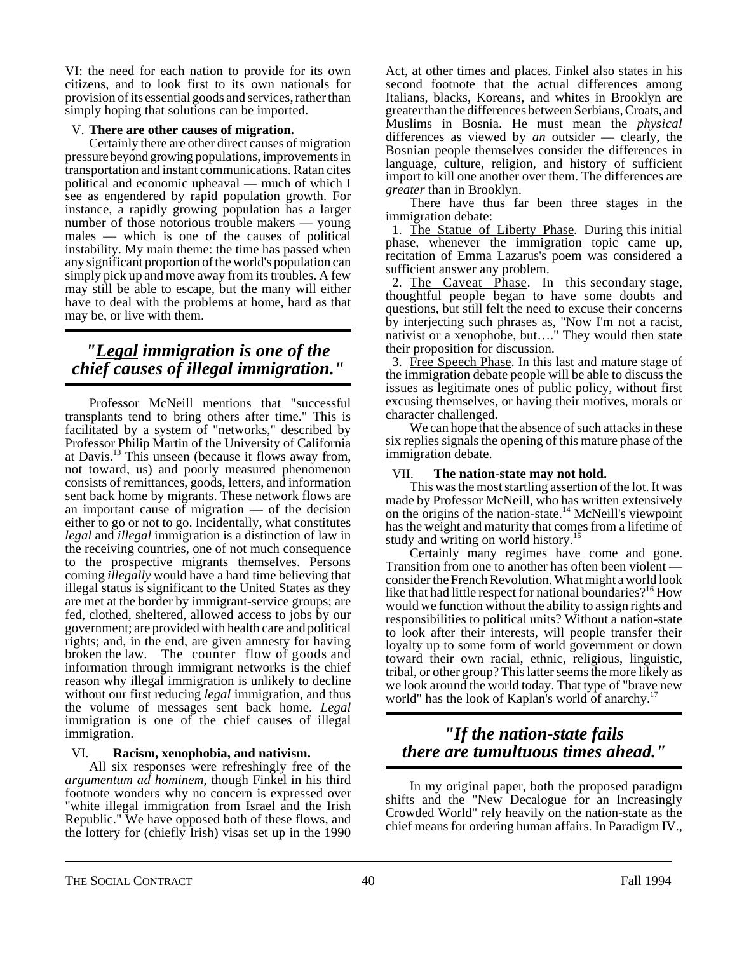VI: the need for each nation to provide for its own citizens, and to look first to its own nationals for provision of its essential goods and services, rather than simply hoping that solutions can be imported.

#### V. **There are other causes of migration.**

Certainly there are other direct causes of migration pressure beyond growing populations, improvements in transportation and instant communications. Ratan cites political and economic upheaval — much of which I see as engendered by rapid population growth. For instance, a rapidly growing population has a larger number of those notorious trouble makers — young males — which is one of the causes of political instability. My main theme: the time has passed when any significant proportion of the world's population can simply pick up and move away from its troubles. A few may still be able to escape, but the many will either have to deal with the problems at home, hard as that may be, or live with them.

## *"Legal immigration is one of the chief causes of illegal immigration."*

Professor McNeill mentions that "successful transplants tend to bring others after time." This is facilitated by a system of "networks," described by Professor Philip Martin of the University of California at Davis.13 This unseen (because it flows away from, not toward, us) and poorly measured phenomenon consists of remittances, goods, letters, and information sent back home by migrants. These network flows are an important cause of migration — of the decision either to go or not to go. Incidentally, what constitutes *legal* and *illegal* immigration is a distinction of law in the receiving countries, one of not much consequence to the prospective migrants themselves. Persons coming *illegally* would have a hard time believing that illegal status is significant to the United States as they are met at the border by immigrant-service groups; are fed, clothed, sheltered, allowed access to jobs by our government; are provided with health care and political rights; and, in the end, are given amnesty for having broken the law. The counter flow of goods and information through immigrant networks is the chief reason why illegal immigration is unlikely to decline without our first reducing *legal* immigration, and thus the volume of messages sent back home. *Legal* immigration is one of the chief causes of illegal immigration.

#### VI. **Racism, xenophobia, and nativism.**

All six responses were refreshingly free of the *argumentum ad hominem*, though Finkel in his third footnote wonders why no concern is expressed over "white illegal immigration from Israel and the Irish Republic." We have opposed both of these flows, and the lottery for (chiefly Irish) visas set up in the 1990 Act, at other times and places. Finkel also states in his second footnote that the actual differences among Italians, blacks, Koreans, and whites in Brooklyn are greater than the differences between Serbians, Croats, and Muslims in Bosnia. He must mean the *physical* differences as viewed by *an* outsider — clearly, the Bosnian people themselves consider the differences in language, culture, religion, and history of sufficient import to kill one another over them. The differences are *greater* than in Brooklyn.

There have thus far been three stages in the immigration debate:

 1. The Statue of Liberty Phase. During this initial phase, whenever the immigration topic came up, recitation of Emma Lazarus's poem was considered a sufficient answer any problem.

 2. The Caveat Phase. In this secondary stage, thoughtful people began to have some doubts and questions, but still felt the need to excuse their concerns by interjecting such phrases as, "Now I'm not a racist, nativist or a xenophobe, but…." They would then state their proposition for discussion.

 3. Free Speech Phase. In this last and mature stage of the immigration debate people will be able to discuss the issues as legitimate ones of public policy, without first excusing themselves, or having their motives, morals or character challenged.

We can hope that the absence of such attacks in these six replies signals the opening of this mature phase of the immigration debate.

#### VII. **The nation-state may not hold.**

This was the most startling assertion of the lot. It was made by Professor McNeill, who has written extensively on the origins of the nation-state.<sup>14</sup> McNeill's viewpoint has the weight and maturity that comes from a lifetime of study and writing on world history.<sup>15</sup>

Certainly many regimes have come and gone. Transition from one to another has often been violent — consider the French Revolution. What might a world look like that had little respect for national boundaries?<sup>16</sup> How would we function without the ability to assign rights and responsibilities to political units? Without a nation-state to look after their interests, will people transfer their loyalty up to some form of world government or down toward their own racial, ethnic, religious, linguistic, tribal, or other group? This latter seems the more likely as we look around the world today. That type of "brave new world" has the look of Kaplan's world of anarchy.<sup>17</sup>

## *"If the nation-state fails there are tumultuous times ahead."*

In my original paper, both the proposed paradigm shifts and the "New Decalogue for an Increasingly Crowded World" rely heavily on the nation-state as the chief means for ordering human affairs. In Paradigm IV.,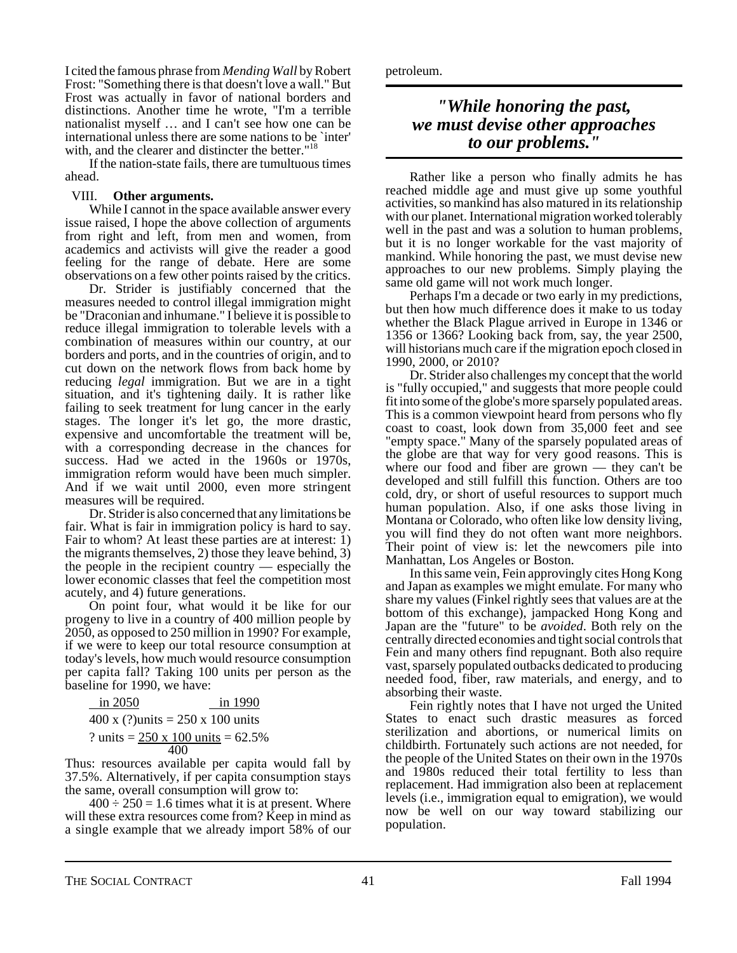I cited the famous phrase from *Mending Wall* by Robert Frost: "Something there is that doesn't love a wall." But Frost was actually in favor of national borders and distinctions. Another time he wrote, "I'm a terrible nationalist myself … and I can't see how one can be international unless there are some nations to be `inter' with, and the clearer and distincter the better."<sup>18</sup>

If the nation-state fails, there are tumultuous times ahead.

#### VIII. **Other arguments.**

While I cannot in the space available answer every issue raised, I hope the above collection of arguments from right and left, from men and women, from academics and activists will give the reader a good feeling for the range of debate. Here are some observations on a few other points raised by the critics.

Dr. Strider is justifiably concerned that the measures needed to control illegal immigration might be "Draconian and inhumane." I believe it is possible to reduce illegal immigration to tolerable levels with a combination of measures within our country, at our borders and ports, and in the countries of origin, and to cut down on the network flows from back home by reducing *legal* immigration. But we are in a tight situation, and it's tightening daily. It is rather like failing to seek treatment for lung cancer in the early stages. The longer it's let go, the more drastic, expensive and uncomfortable the treatment will be, with a corresponding decrease in the chances for success. Had we acted in the 1960s or 1970s, immigration reform would have been much simpler. And if we wait until 2000, even more stringent measures will be required.

Dr. Strider is also concerned that any limitations be fair. What is fair in immigration policy is hard to say. Fair to whom? At least these parties are at interest: 1) the migrants themselves, 2) those they leave behind, 3) the people in the recipient country — especially the lower economic classes that feel the competition most acutely, and 4) future generations.

On point four, what would it be like for our progeny to live in a country of 400 million people by 2050, as opposed to 250 million in 1990? For example, if we were to keep our total resource consumption at today's levels, how much would resource consumption per capita fall? Taking 100 units per person as the baseline for 1990, we have:

| in $2050$                                   | in 1990 |
|---------------------------------------------|---------|
| 400 x (?) units = $250 \times 100$ units    |         |
| ? units = $250 \times 100$ units = $62.5\%$ |         |
| 400                                         |         |

Thus: resources available per capita would fall by 37.5%. Alternatively, if per capita consumption stays the same, overall consumption will grow to:

 $400 \div 250 = 1.6$  times what it is at present. Where will these extra resources come from? Keep in mind as a single example that we already import 58% of our petroleum.

### *"While honoring the past, we must devise other approaches to our problems."*

Rather like a person who finally admits he has reached middle age and must give up some youthful activities, so mankind has also matured in its relationship with our planet. International migration worked tolerably well in the past and was a solution to human problems, but it is no longer workable for the vast majority of mankind. While honoring the past, we must devise new approaches to our new problems. Simply playing the same old game will not work much longer.

Perhaps I'm a decade or two early in my predictions, but then how much difference does it make to us today whether the Black Plague arrived in Europe in 1346 or 1356 or 1366? Looking back from, say, the year 2500, will historians much care if the migration epoch closed in 1990, 2000, or 2010?

Dr. Strider also challenges my concept that the world is "fully occupied," and suggests that more people could fit into some of the globe's more sparsely populated areas. This is a common viewpoint heard from persons who fly coast to coast, look down from 35,000 feet and see "empty space." Many of the sparsely populated areas of the globe are that way for very good reasons. This is where our food and fiber are grown — they can't be developed and still fulfill this function. Others are too cold, dry, or short of useful resources to support much human population. Also, if one asks those living in Montana or Colorado, who often like low density living, you will find they do not often want more neighbors. Their point of view is: let the newcomers pile into Manhattan, Los Angeles or Boston.

In this same vein, Fein approvingly cites Hong Kong and Japan as examples we might emulate. For many who share my values (Finkel rightly sees that values are at the bottom of this exchange), jampacked Hong Kong and Japan are the "future" to be *avoided*. Both rely on the centrally directed economies and tight social controls that Fein and many others find repugnant. Both also require vast, sparsely populated outbacks dedicated to producing needed food, fiber, raw materials, and energy, and to absorbing their waste.

Fein rightly notes that I have not urged the United States to enact such drastic measures as forced sterilization and abortions, or numerical limits on childbirth. Fortunately such actions are not needed, for the people of the United States on their own in the 1970s and 1980s reduced their total fertility to less than replacement. Had immigration also been at replacement levels (i.e., immigration equal to emigration), we would now be well on our way toward stabilizing our population.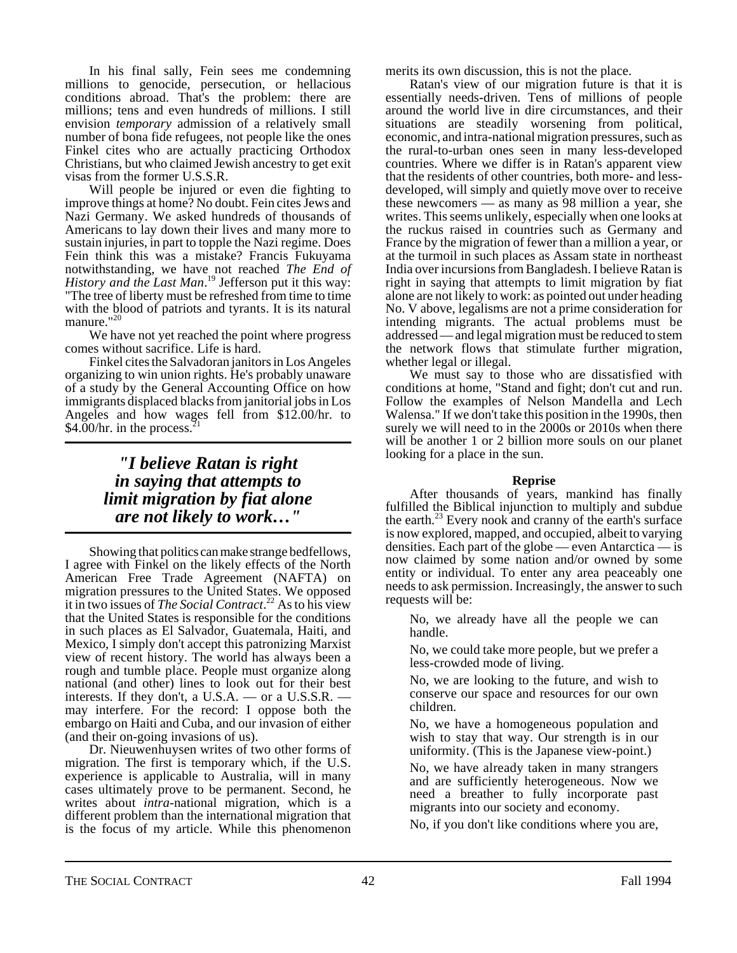In his final sally, Fein sees me condemning millions to genocide, persecution, or hellacious conditions abroad. That's the problem: there are millions; tens and even hundreds of millions. I still envision *temporary* admission of a relatively small number of bona fide refugees, not people like the ones Finkel cites who are actually practicing Orthodox Christians, but who claimed Jewish ancestry to get exit visas from the former U.S.S.R.

Will people be injured or even die fighting to improve things at home? No doubt. Fein cites Jews and Nazi Germany. We asked hundreds of thousands of Americans to lay down their lives and many more to sustain injuries, in part to topple the Nazi regime. Does Fein think this was a mistake? Francis Fukuyama notwithstanding, we have not reached *The End of* History and the Last Man.<sup>19</sup> Jefferson put it this way: "The tree of liberty must be refreshed from time to time with the blood of patriots and tyrants. It is its natural manure."<sup>20</sup>

We have not yet reached the point where progress comes without sacrifice. Life is hard.

Finkel cites the Salvadoran janitors in Los Angeles organizing to win union rights. He's probably unaware of a study by the General Accounting Office on how immigrants displaced blacks from janitorial jobs in Los Angeles and how wages fell from \$12.00/hr. to \$4.00/hr. in the process. $21$ 

## *"I believe Ratan is right in saying that attempts to limit migration by fiat alone are not likely to work…"*

Showing that politics can make strange bedfellows, I agree with Finkel on the likely effects of the North American Free Trade Agreement (NAFTA) on migration pressures to the United States. We opposed it in two issues of *The Social Contract*. 22 As to his view that the United States is responsible for the conditions in such places as El Salvador, Guatemala, Haiti, and Mexico, I simply don't accept this patronizing Marxist view of recent history. The world has always been a rough and tumble place. People must organize along national (and other) lines to look out for their best interests. If they don't, a U.S.A. — or a U.S.S.R. — may interfere. For the record: I oppose both the embargo on Haiti and Cuba, and our invasion of either (and their on-going invasions of us).

Dr. Nieuwenhuysen writes of two other forms of migration. The first is temporary which, if the U.S. experience is applicable to Australia, will in many cases ultimately prove to be permanent. Second, he writes about *intra*-national migration, which is a different problem than the international migration that is the focus of my article. While this phenomenon

merits its own discussion, this is not the place.

Ratan's view of our migration future is that it is essentially needs-driven. Tens of millions of people around the world live in dire circumstances, and their situations are steadily worsening from political, economic, and intra-national migration pressures, such as the rural-to-urban ones seen in many less-developed countries. Where we differ is in Ratan's apparent view that the residents of other countries, both more- and lessdeveloped, will simply and quietly move over to receive these newcomers — as many as 98 million a year, she writes. This seems unlikely, especially when one looks at the ruckus raised in countries such as Germany and France by the migration of fewer than a million a year, or at the turmoil in such places as Assam state in northeast India over incursions from Bangladesh. I believe Ratan is right in saying that attempts to limit migration by fiat alone are not likely to work: as pointed out under heading No. V above, legalisms are not a prime consideration for intending migrants. The actual problems must be addressed — and legal migration must be reduced to stem the network flows that stimulate further migration, whether legal or illegal.

We must say to those who are dissatisfied with conditions at home, "Stand and fight; don't cut and run. Follow the examples of Nelson Mandella and Lech Walensa." If we don't take this position in the 1990s, then surely we will need to in the 2000s or 2010s when there will be another 1 or 2 billion more souls on our planet looking for a place in the sun.

#### **Reprise**

After thousands of years, mankind has finally fulfilled the Biblical injunction to multiply and subdue the earth.<sup>23</sup> Every nook and cranny of the earth's surface is now explored, mapped, and occupied, albeit to varying densities. Each part of the globe — even Antarctica — is now claimed by some nation and/or owned by some entity or individual. To enter any area peaceably one needs to ask permission. Increasingly, the answer to such requests will be:

No, we already have all the people we can handle.

No, we could take more people, but we prefer a less-crowded mode of living.

No, we are looking to the future, and wish to conserve our space and resources for our own children.

No, we have a homogeneous population and wish to stay that way. Our strength is in our uniformity. (This is the Japanese view-point.)

No, we have already taken in many strangers and are sufficiently heterogeneous. Now we need a breather to fully incorporate past migrants into our society and economy.

No, if you don't like conditions where you are,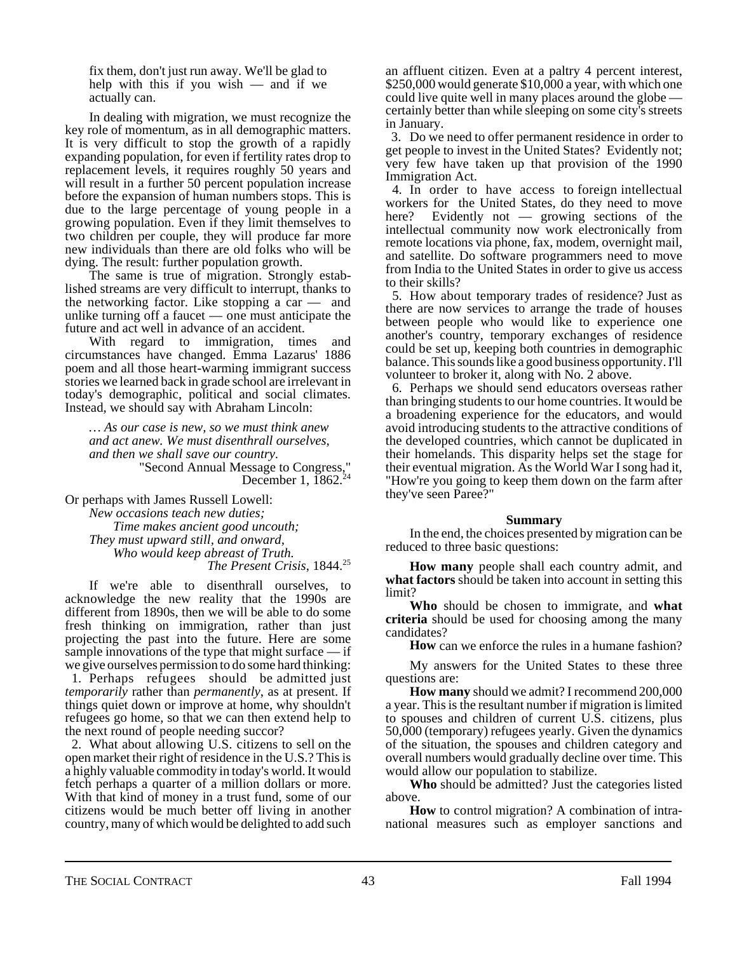fix them, don't just run away. We'll be glad to help with this if you wish — and if we actually can.

In dealing with migration, we must recognize the key role of momentum, as in all demographic matters. It is very difficult to stop the growth of a rapidly expanding population, for even if fertility rates drop to replacement levels, it requires roughly 50 years and will result in a further 50 percent population increase before the expansion of human numbers stops. This is due to the large percentage of young people in a growing population. Even if they limit themselves to two children per couple, they will produce far more new individuals than there are old folks who will be dying. The result: further population growth.

The same is true of migration. Strongly established streams are very difficult to interrupt, thanks to the networking factor. Like stopping a car — and unlike turning off a faucet — one must anticipate the future and act well in advance of an accident.

With regard to immigration, times and circumstances have changed. Emma Lazarus' 1886 poem and all those heart-warming immigrant success stories we learned back in grade school are irrelevant in today's demographic, political and social climates. Instead, we should say with Abraham Lincoln:

*… As our case is new, so we must think anew and act anew. We must disenthrall ourselves, and then we shall save our country.* "Second Annual Message to Congress," December 1,  $1862.^{24}$ 

Or perhaps with James Russell Lowell:

*New occasions teach new duties; Time makes ancient good uncouth; They must upward still, and onward, Who would keep abreast of Truth. The Present Crisis*, 1844.<sup>25</sup>

If we're able to disenthrall ourselves, to acknowledge the new reality that the 1990s are different from 1890s, then we will be able to do some fresh thinking on immigration, rather than just projecting the past into the future. Here are some sample innovations of the type that might surface  $-$  if we give ourselves permission to do some hard thinking:

 1. Perhaps refugees should be admitted just *temporarily* rather than *permanently*, as at present. If things quiet down or improve at home, why shouldn't refugees go home, so that we can then extend help to the next round of people needing succor?

 2. What about allowing U.S. citizens to sell on the open market their right of residence in the U.S.? This is a highly valuable commodity in today's world. It would fetch perhaps a quarter of a million dollars or more. With that kind of money in a trust fund, some of our citizens would be much better off living in another country, many of which would be delighted to add such an affluent citizen. Even at a paltry 4 percent interest, \$250,000 would generate \$10,000 a year, with which one could live quite well in many places around the globe — certainly better than while sleeping on some city's streets in January.

 3. Do we need to offer permanent residence in order to get people to invest in the United States? Evidently not; very few have taken up that provision of the 1990 Immigration Act.

 4. In order to have access to foreign intellectual workers for the United States, do they need to move here? Evidently not — growing sections of the intellectual community now work electronically from remote locations via phone, fax, modem, overnight mail, and satellite. Do software programmers need to move from India to the United States in order to give us access to their skills?

 5. How about temporary trades of residence? Just as there are now services to arrange the trade of houses between people who would like to experience one another's country, temporary exchanges of residence could be set up, keeping both countries in demographic balance. This sounds like a good business opportunity. I'll volunteer to broker it, along with No. 2 above.

 6. Perhaps we should send educators overseas rather than bringing students to our home countries. It would be a broadening experience for the educators, and would avoid introducing students to the attractive conditions of the developed countries, which cannot be duplicated in their homelands. This disparity helps set the stage for their eventual migration. As the World War I song had it, "How're you going to keep them down on the farm after they've seen Paree?"

#### **Summary**

In the end, the choices presented by migration can be reduced to three basic questions:

**How many** people shall each country admit, and **what factors** should be taken into account in setting this limit?

**Who** should be chosen to immigrate, and **what criteria** should be used for choosing among the many candidates?

**How** can we enforce the rules in a humane fashion?

My answers for the United States to these three questions are:

**How many** should we admit? I recommend 200,000 a year. This is the resultant number if migration is limited to spouses and children of current U.S. citizens, plus 50,000 (temporary) refugees yearly. Given the dynamics of the situation, the spouses and children category and overall numbers would gradually decline over time. This would allow our population to stabilize.

**Who** should be admitted? Just the categories listed above.

**How** to control migration? A combination of intranational measures such as employer sanctions and